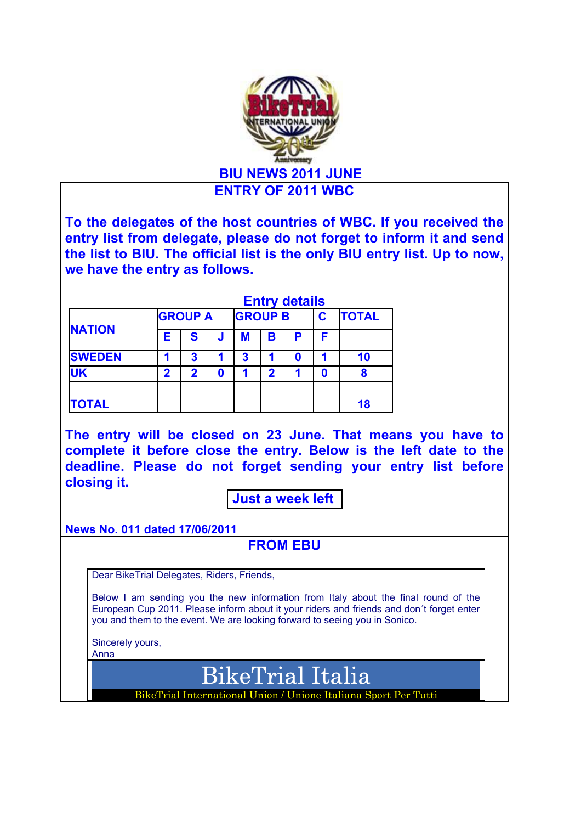

BikeTrial Italia

BikeTrial International Union / Unione Italiana Sport Per Tutti